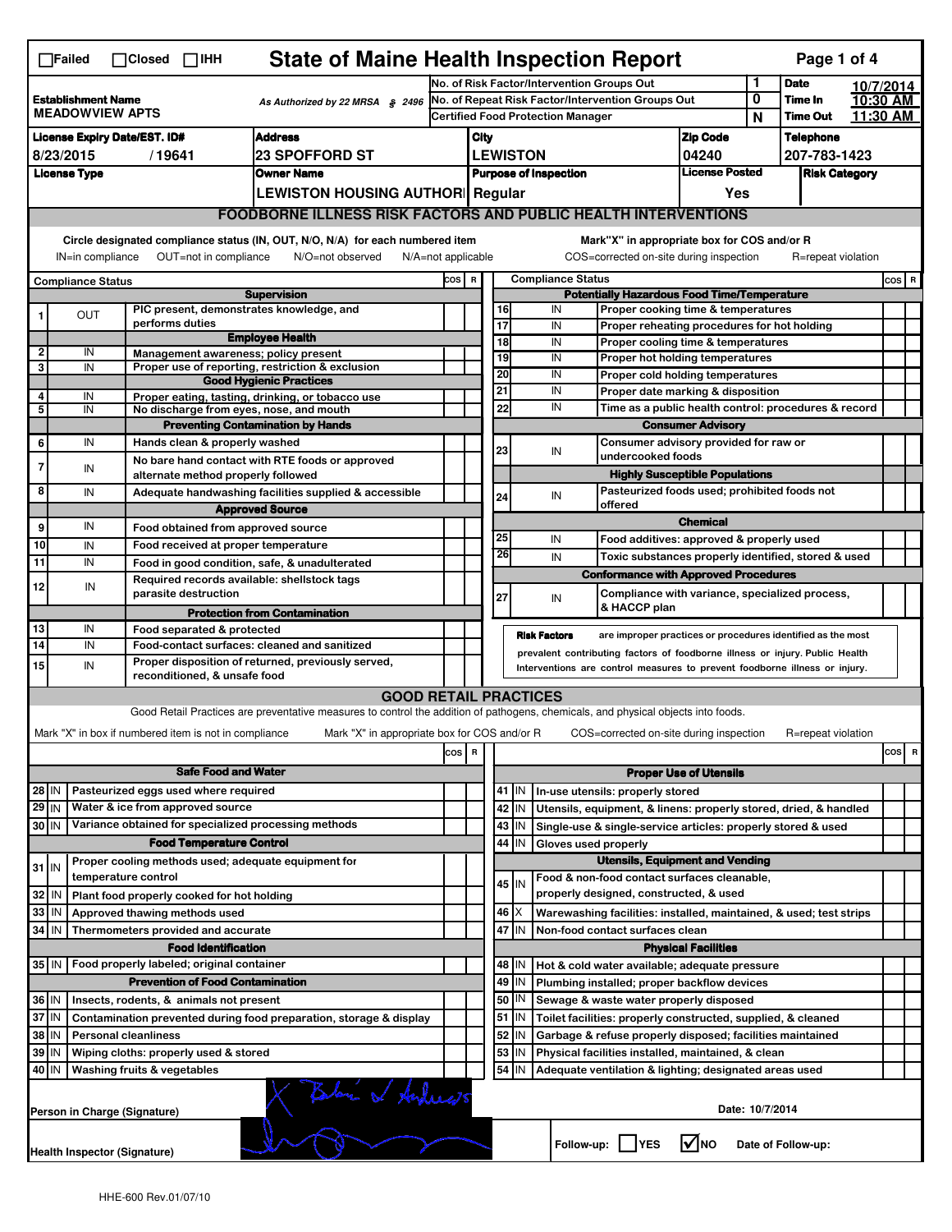| <b>State of Maine Health Inspection Report</b><br>Page 1 of 4<br>$\Box$ Failed<br>$\Box$ Closed $\Box$ IHH                                                                                                                                                                                |                                                                                                  |                                                                     |                                                                                                                                   |                                                   |                                          |                                          |                 |                                       |                                                      |                                                                              |                            |                      |           |       |  |
|-------------------------------------------------------------------------------------------------------------------------------------------------------------------------------------------------------------------------------------------------------------------------------------------|--------------------------------------------------------------------------------------------------|---------------------------------------------------------------------|-----------------------------------------------------------------------------------------------------------------------------------|---------------------------------------------------|------------------------------------------|------------------------------------------|-----------------|---------------------------------------|------------------------------------------------------|------------------------------------------------------------------------------|----------------------------|----------------------|-----------|-------|--|
|                                                                                                                                                                                                                                                                                           |                                                                                                  |                                                                     |                                                                                                                                   | No. of Risk Factor/Intervention Groups Out        |                                          |                                          |                 |                                       |                                                      |                                                                              | 1                          | <b>Date</b>          | 10/7/2014 |       |  |
| <b>Establishment Name</b><br>As Authorized by 22 MRSA § 2496<br><b>MEADOWVIEW APTS</b>                                                                                                                                                                                                    |                                                                                                  |                                                                     |                                                                                                                                   | No. of Repeat Risk Factor/Intervention Groups Out |                                          |                                          |                 |                                       |                                                      | 0                                                                            | Time In<br><b>Time Out</b> | 10:30 AM<br>11:30 AM |           |       |  |
|                                                                                                                                                                                                                                                                                           |                                                                                                  |                                                                     |                                                                                                                                   |                                                   | <b>Certified Food Protection Manager</b> |                                          |                 |                                       |                                                      |                                                                              | N                          |                      |           |       |  |
| <b>Address</b><br><b>License Expiry Date/EST. ID#</b>                                                                                                                                                                                                                                     |                                                                                                  |                                                                     |                                                                                                                                   | City                                              |                                          |                                          |                 |                                       | <b>Zip Code</b>                                      |                                                                              | <b>Telephone</b>           |                      |           |       |  |
| 8/23/2015<br><b>23 SPOFFORD ST</b><br>/19641                                                                                                                                                                                                                                              |                                                                                                  |                                                                     |                                                                                                                                   |                                                   |                                          | <b>LEWISTON</b>                          |                 |                                       | 04240<br><b>License Posted</b>                       |                                                                              | 207-783-1423               |                      |           |       |  |
|                                                                                                                                                                                                                                                                                           | <b>License Type</b>                                                                              |                                                                     | <b>Owner Name</b>                                                                                                                 |                                                   |                                          | <b>Purpose of Inspection</b>             |                 |                                       |                                                      |                                                                              |                            | <b>Risk Category</b> |           |       |  |
|                                                                                                                                                                                                                                                                                           |                                                                                                  |                                                                     | LEWISTON HOUSING AUTHOR  Regular                                                                                                  |                                                   |                                          |                                          |                 |                                       |                                                      | Yes                                                                          |                            |                      |           |       |  |
|                                                                                                                                                                                                                                                                                           |                                                                                                  |                                                                     | <b>FOODBORNE ILLNESS RISK FACTORS AND PUBLIC HEALTH INTERVENTIONS</b>                                                             |                                                   |                                          |                                          |                 |                                       |                                                      |                                                                              |                            |                      |           |       |  |
| Circle designated compliance status (IN, OUT, N/O, N/A) for each numbered item<br>Mark"X" in appropriate box for COS and/or R<br>OUT=not in compliance<br>COS=corrected on-site during inspection<br>IN=in compliance<br>N/O=not observed<br>$N/A = not$ applicable<br>R=repeat violation |                                                                                                  |                                                                     |                                                                                                                                   |                                                   |                                          |                                          |                 |                                       |                                                      |                                                                              |                            |                      |           |       |  |
|                                                                                                                                                                                                                                                                                           | <b>Compliance Status</b>                                                                         |                                                                     |                                                                                                                                   | cos                                               | $\mathbf R$                              | <b>Compliance Status</b>                 |                 |                                       |                                                      |                                                                              |                            |                      |           | COS R |  |
|                                                                                                                                                                                                                                                                                           |                                                                                                  |                                                                     | <b>Supervision</b>                                                                                                                |                                                   |                                          |                                          |                 |                                       |                                                      | <b>Potentially Hazardous Food Time/Temperature</b>                           |                            |                      |           |       |  |
|                                                                                                                                                                                                                                                                                           | <b>OUT</b>                                                                                       | PIC present, demonstrates knowledge, and                            |                                                                                                                                   |                                                   |                                          | 16                                       |                 | IN                                    |                                                      | Proper cooking time & temperatures                                           |                            |                      |           |       |  |
|                                                                                                                                                                                                                                                                                           |                                                                                                  | performs duties                                                     | <b>Employee Health</b>                                                                                                            |                                                   |                                          | 17<br>$\overline{18}$                    |                 | IN<br>IN                              |                                                      | Proper reheating procedures for hot holding                                  |                            |                      |           |       |  |
| $\overline{\mathbf{2}}$                                                                                                                                                                                                                                                                   | IN                                                                                               | Management awareness: policy present                                |                                                                                                                                   |                                                   |                                          | 19                                       |                 | IN                                    |                                                      | Proper cooling time & temperatures<br>Proper hot holding temperatures        |                            |                      |           |       |  |
| 3                                                                                                                                                                                                                                                                                         | IN                                                                                               |                                                                     | Proper use of reporting, restriction & exclusion                                                                                  |                                                   |                                          | 20                                       |                 | IN                                    |                                                      | Proper cold holding temperatures                                             |                            |                      |           |       |  |
| 4                                                                                                                                                                                                                                                                                         | IN                                                                                               |                                                                     | <b>Good Hygienic Practices</b>                                                                                                    |                                                   |                                          | 21                                       |                 | IN                                    |                                                      | Proper date marking & disposition                                            |                            |                      |           |       |  |
| 5                                                                                                                                                                                                                                                                                         | IN                                                                                               | No discharge from eyes, nose, and mouth                             | Proper eating, tasting, drinking, or tobacco use                                                                                  |                                                   |                                          | 22                                       |                 | IN                                    | Time as a public health control: procedures & record |                                                                              |                            |                      |           |       |  |
|                                                                                                                                                                                                                                                                                           |                                                                                                  |                                                                     | <b>Preventing Contamination by Hands</b>                                                                                          |                                                   |                                          | <b>Consumer Advisory</b>                 |                 |                                       |                                                      |                                                                              |                            |                      |           |       |  |
| 6                                                                                                                                                                                                                                                                                         | IN                                                                                               | Hands clean & properly washed                                       |                                                                                                                                   |                                                   |                                          | 23                                       |                 | Consumer advisory provided for raw or |                                                      |                                                                              |                            |                      |           |       |  |
| $\overline{7}$                                                                                                                                                                                                                                                                            | IN                                                                                               |                                                                     | No bare hand contact with RTE foods or approved                                                                                   |                                                   |                                          |                                          |                 | IN                                    | undercooked foods                                    |                                                                              |                            |                      |           |       |  |
|                                                                                                                                                                                                                                                                                           |                                                                                                  | alternate method properly followed                                  |                                                                                                                                   |                                                   |                                          |                                          |                 |                                       |                                                      | <b>Highly Susceptible Populations</b>                                        |                            |                      |           |       |  |
| 8                                                                                                                                                                                                                                                                                         | IN                                                                                               |                                                                     | Adequate handwashing facilities supplied & accessible                                                                             |                                                   |                                          | 24                                       |                 | IN                                    | offered                                              | Pasteurized foods used; prohibited foods not                                 |                            |                      |           |       |  |
|                                                                                                                                                                                                                                                                                           |                                                                                                  |                                                                     | <b>Approved Source</b>                                                                                                            |                                                   |                                          |                                          |                 |                                       |                                                      | <b>Chemical</b>                                                              |                            |                      |           |       |  |
| 9                                                                                                                                                                                                                                                                                         | IN                                                                                               | Food obtained from approved source                                  |                                                                                                                                   |                                                   |                                          | 25                                       |                 | IN                                    |                                                      | Food additives: approved & properly used                                     |                            |                      |           |       |  |
| 10                                                                                                                                                                                                                                                                                        | IN                                                                                               | Food received at proper temperature                                 |                                                                                                                                   |                                                   |                                          | 26                                       |                 | IN                                    |                                                      | Toxic substances properly identified, stored & used                          |                            |                      |           |       |  |
| $\overline{11}$                                                                                                                                                                                                                                                                           | IN                                                                                               |                                                                     | Food in good condition, safe, & unadulterated                                                                                     |                                                   |                                          |                                          |                 |                                       |                                                      | <b>Conformance with Approved Procedures</b>                                  |                            |                      |           |       |  |
| 12                                                                                                                                                                                                                                                                                        | IN                                                                                               | Required records available: shellstock tags<br>parasite destruction |                                                                                                                                   |                                                   |                                          |                                          |                 |                                       |                                                      | Compliance with variance, specialized process,                               |                            |                      |           |       |  |
|                                                                                                                                                                                                                                                                                           |                                                                                                  |                                                                     |                                                                                                                                   |                                                   |                                          | 27                                       |                 | IN                                    | & HACCP plan                                         |                                                                              |                            |                      |           |       |  |
| 13                                                                                                                                                                                                                                                                                        | IN                                                                                               | Food separated & protected                                          | <b>Protection from Contamination</b>                                                                                              |                                                   |                                          |                                          |                 |                                       |                                                      |                                                                              |                            |                      |           |       |  |
| 14                                                                                                                                                                                                                                                                                        | IN                                                                                               |                                                                     | Food-contact surfaces: cleaned and sanitized                                                                                      |                                                   |                                          |                                          |                 | <b>Risk Factors</b>                   |                                                      | are improper practices or procedures identified as the most                  |                            |                      |           |       |  |
| 15                                                                                                                                                                                                                                                                                        | IN                                                                                               |                                                                     | Proper disposition of returned, previously served,                                                                                |                                                   |                                          |                                          |                 |                                       |                                                      | prevalent contributing factors of foodborne illness or injury. Public Health |                            |                      |           |       |  |
|                                                                                                                                                                                                                                                                                           |                                                                                                  | reconditioned, & unsafe food                                        |                                                                                                                                   |                                                   |                                          |                                          |                 |                                       |                                                      | Interventions are control measures to prevent foodborne illness or injury.   |                            |                      |           |       |  |
|                                                                                                                                                                                                                                                                                           |                                                                                                  |                                                                     | <b>GOOD RETAIL PRACTICES</b>                                                                                                      |                                                   |                                          |                                          |                 |                                       |                                                      |                                                                              |                            |                      |           |       |  |
|                                                                                                                                                                                                                                                                                           |                                                                                                  |                                                                     | Good Retail Practices are preventative measures to control the addition of pathogens, chemicals, and physical objects into foods. |                                                   |                                          |                                          |                 |                                       |                                                      |                                                                              |                            |                      |           |       |  |
|                                                                                                                                                                                                                                                                                           |                                                                                                  | Mark "X" in box if numbered item is not in compliance               | Mark "X" in appropriate box for COS and/or R                                                                                      |                                                   |                                          |                                          |                 |                                       |                                                      | COS=corrected on-site during inspection                                      |                            | R=repeat violation   |           |       |  |
|                                                                                                                                                                                                                                                                                           |                                                                                                  |                                                                     |                                                                                                                                   | cos R                                             |                                          |                                          |                 |                                       |                                                      |                                                                              |                            |                      | cos       | R     |  |
|                                                                                                                                                                                                                                                                                           |                                                                                                  | <b>Safe Food and Water</b>                                          |                                                                                                                                   |                                                   |                                          |                                          |                 |                                       |                                                      | <b>Proper Use of Utensils</b>                                                |                            |                      |           |       |  |
| $28$ IN                                                                                                                                                                                                                                                                                   |                                                                                                  | Pasteurized eggs used where required                                |                                                                                                                                   |                                                   |                                          | 41                                       | IN              |                                       | In-use utensils: properly stored                     |                                                                              |                            |                      |           |       |  |
| $29$ IN                                                                                                                                                                                                                                                                                   |                                                                                                  | Water & ice from approved source                                    |                                                                                                                                   |                                                   |                                          |                                          | 42 IN           |                                       |                                                      | Utensils, equipment, & linens: properly stored, dried, & handled             |                            |                      |           |       |  |
| 30 IN                                                                                                                                                                                                                                                                                     |                                                                                                  | Variance obtained for specialized processing methods                |                                                                                                                                   |                                                   |                                          |                                          | $43$ IN         |                                       |                                                      | Single-use & single-service articles: properly stored & used                 |                            |                      |           |       |  |
|                                                                                                                                                                                                                                                                                           |                                                                                                  | <b>Food Temperature Control</b>                                     |                                                                                                                                   |                                                   |                                          | 44                                       | IN              | Gloves used properly                  |                                                      |                                                                              |                            |                      |           |       |  |
| $31$ IN                                                                                                                                                                                                                                                                                   |                                                                                                  | Proper cooling methods used; adequate equipment for                 |                                                                                                                                   |                                                   |                                          |                                          |                 |                                       |                                                      | <b>Utensils, Equipment and Vending</b>                                       |                            |                      |           |       |  |
|                                                                                                                                                                                                                                                                                           |                                                                                                  | temperature control                                                 |                                                                                                                                   |                                                   |                                          |                                          | $45$ IN         |                                       |                                                      | Food & non-food contact surfaces cleanable,                                  |                            |                      |           |       |  |
| 32                                                                                                                                                                                                                                                                                        | IN                                                                                               | Plant food properly cooked for hot holding                          |                                                                                                                                   |                                                   |                                          |                                          |                 |                                       | properly designed, constructed, & used               |                                                                              |                            |                      |           |       |  |
| 33                                                                                                                                                                                                                                                                                        | IN                                                                                               | Approved thawing methods used                                       |                                                                                                                                   |                                                   |                                          |                                          | $46 \times$     |                                       |                                                      | Warewashing facilities: installed, maintained, & used; test strips           |                            |                      |           |       |  |
| 34                                                                                                                                                                                                                                                                                        | l IN                                                                                             | Thermometers provided and accurate                                  |                                                                                                                                   |                                                   |                                          | 47 IN<br>Non-food contact surfaces clean |                 |                                       |                                                      |                                                                              |                            |                      |           |       |  |
|                                                                                                                                                                                                                                                                                           |                                                                                                  | <b>Food Identification</b>                                          |                                                                                                                                   |                                                   |                                          | <b>Physical Facilities</b>               |                 |                                       |                                                      |                                                                              |                            |                      |           |       |  |
| Food properly labeled; original container<br>35 IN                                                                                                                                                                                                                                        |                                                                                                  |                                                                     |                                                                                                                                   |                                                   |                                          | 48   IN                                  |                 |                                       | Hot & cold water available; adequate pressure        |                                                                              |                            |                      |           |       |  |
|                                                                                                                                                                                                                                                                                           |                                                                                                  | <b>Prevention of Food Contamination</b>                             |                                                                                                                                   |                                                   |                                          | 49                                       | IN              |                                       |                                                      | Plumbing installed; proper backflow devices                                  |                            |                      |           |       |  |
| 36 IN                                                                                                                                                                                                                                                                                     |                                                                                                  | Insects, rodents, & animals not present                             |                                                                                                                                   |                                                   |                                          | 50                                       | IN              |                                       |                                                      | Sewage & waste water properly disposed                                       |                            |                      |           |       |  |
| 37 IN                                                                                                                                                                                                                                                                                     |                                                                                                  |                                                                     | Contamination prevented during food preparation, storage & display                                                                |                                                   |                                          |                                          | $51$ $\vert$ IN |                                       |                                                      | Toilet facilities: properly constructed, supplied, & cleaned                 |                            |                      |           |       |  |
| 38<br>ΙM<br><b>Personal cleanliness</b>                                                                                                                                                                                                                                                   |                                                                                                  |                                                                     |                                                                                                                                   |                                                   |                                          | 52                                       | ΙN              |                                       |                                                      | Garbage & refuse properly disposed; facilities maintained                    |                            |                      |           |       |  |
| 39                                                                                                                                                                                                                                                                                        | ΙM                                                                                               | Wiping cloths: properly used & stored                               |                                                                                                                                   |                                                   |                                          | 53                                       | IN              |                                       |                                                      | Physical facilities installed, maintained, & clean                           |                            |                      |           |       |  |
| 40 IN                                                                                                                                                                                                                                                                                     |                                                                                                  | Washing fruits & vegetables                                         |                                                                                                                                   |                                                   |                                          |                                          | $54$ IN         |                                       |                                                      | Adequate ventilation & lighting; designated areas used                       |                            |                      |           |       |  |
|                                                                                                                                                                                                                                                                                           |                                                                                                  | Person in Charge (Signature)                                        | Store of Andrews                                                                                                                  |                                                   |                                          |                                          |                 |                                       |                                                      | Date: 10/7/2014                                                              |                            |                      |           |       |  |
|                                                                                                                                                                                                                                                                                           | $\sqrt{N}$ NO<br>Follow-up:     YES<br>Date of Follow-up:<br><b>Health Inspector (Signature)</b> |                                                                     |                                                                                                                                   |                                                   |                                          |                                          |                 |                                       |                                                      |                                                                              |                            |                      |           |       |  |
|                                                                                                                                                                                                                                                                                           |                                                                                                  |                                                                     |                                                                                                                                   |                                                   |                                          |                                          |                 |                                       |                                                      |                                                                              |                            |                      |           |       |  |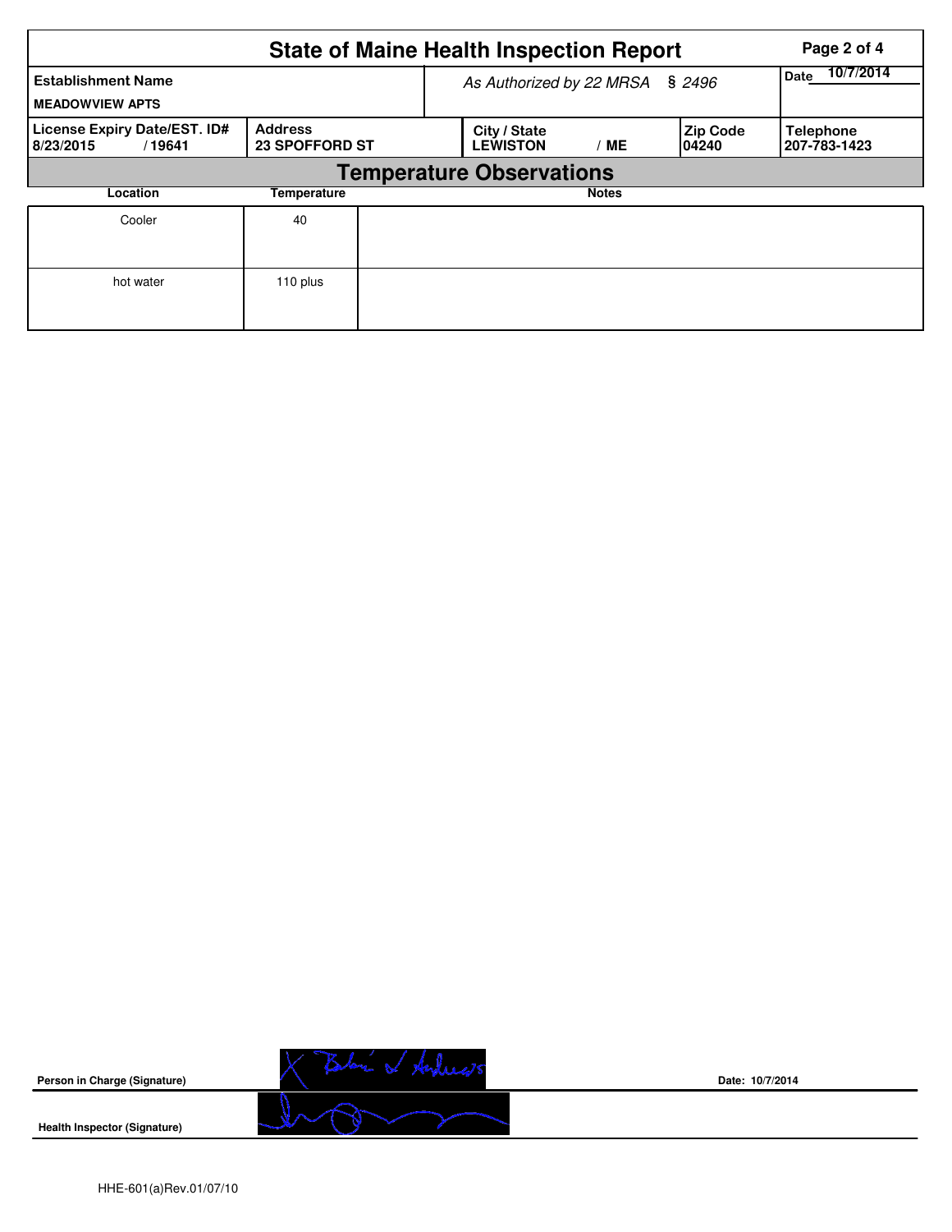|                                                     | Page 2 of 4                             |                                 |                                 |              |                           |                                  |  |  |  |  |  |
|-----------------------------------------------------|-----------------------------------------|---------------------------------|---------------------------------|--------------|---------------------------|----------------------------------|--|--|--|--|--|
| <b>Establishment Name</b><br><b>MEADOWVIEW APTS</b> |                                         | As Authorized by 22 MRSA § 2496 | 10/7/2014<br>Date               |              |                           |                                  |  |  |  |  |  |
| License Expiry Date/EST. ID#<br>8/23/2015<br>/19641 | <b>Address</b><br><b>23 SPOFFORD ST</b> |                                 | City / State<br><b>LEWISTON</b> | / ME         | <b>Zip Code</b><br>104240 | <b>Telephone</b><br>207-783-1423 |  |  |  |  |  |
|                                                     | <b>Temperature Observations</b>         |                                 |                                 |              |                           |                                  |  |  |  |  |  |
| Location                                            | Temperature                             |                                 |                                 | <b>Notes</b> |                           |                                  |  |  |  |  |  |
| Cooler                                              | 40                                      |                                 |                                 |              |                           |                                  |  |  |  |  |  |
| hot water                                           | 110 plus                                |                                 |                                 |              |                           |                                  |  |  |  |  |  |



**Date: 10/7/2014**

**Health Inspector (Signature)**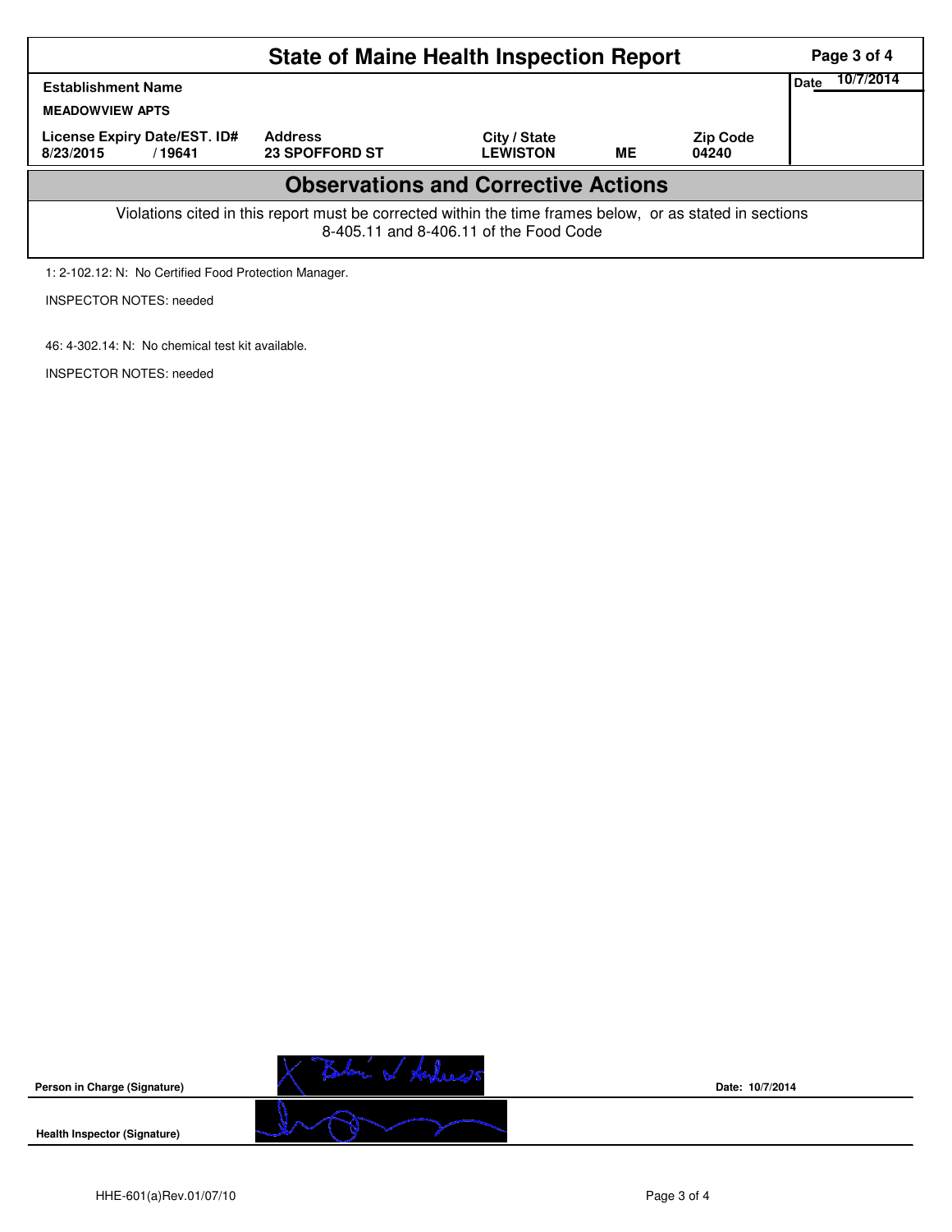|                                                                                                                                                    | Page 3 of 4                             |                                 |    |                          |  |  |  |  |
|----------------------------------------------------------------------------------------------------------------------------------------------------|-----------------------------------------|---------------------------------|----|--------------------------|--|--|--|--|
| <b>Establishment Name</b><br><b>MEADOWVIEW APTS</b>                                                                                                | <b>Date</b>                             |                                 |    |                          |  |  |  |  |
| License Expiry Date/EST. ID#<br>8/23/2015<br>/ 19641                                                                                               | <b>Address</b><br><b>23 SPOFFORD ST</b> | City / State<br><b>LEWISTON</b> | ME | <b>Zip Code</b><br>04240 |  |  |  |  |
| <b>Observations and Corrective Actions</b>                                                                                                         |                                         |                                 |    |                          |  |  |  |  |
| Violations cited in this report must be corrected within the time frames below, or as stated in sections<br>8-405.11 and 8-406.11 of the Food Code |                                         |                                 |    |                          |  |  |  |  |

1: 2-102.12: N: No Certified Food Protection Manager.

INSPECTOR NOTES: needed

46: 4-302.14: N: No chemical test kit available.

INSPECTOR NOTES: needed



**Date: 10/7/2014**

**Health Inspector (Signature)** 

**Person in Charge (Signature)**